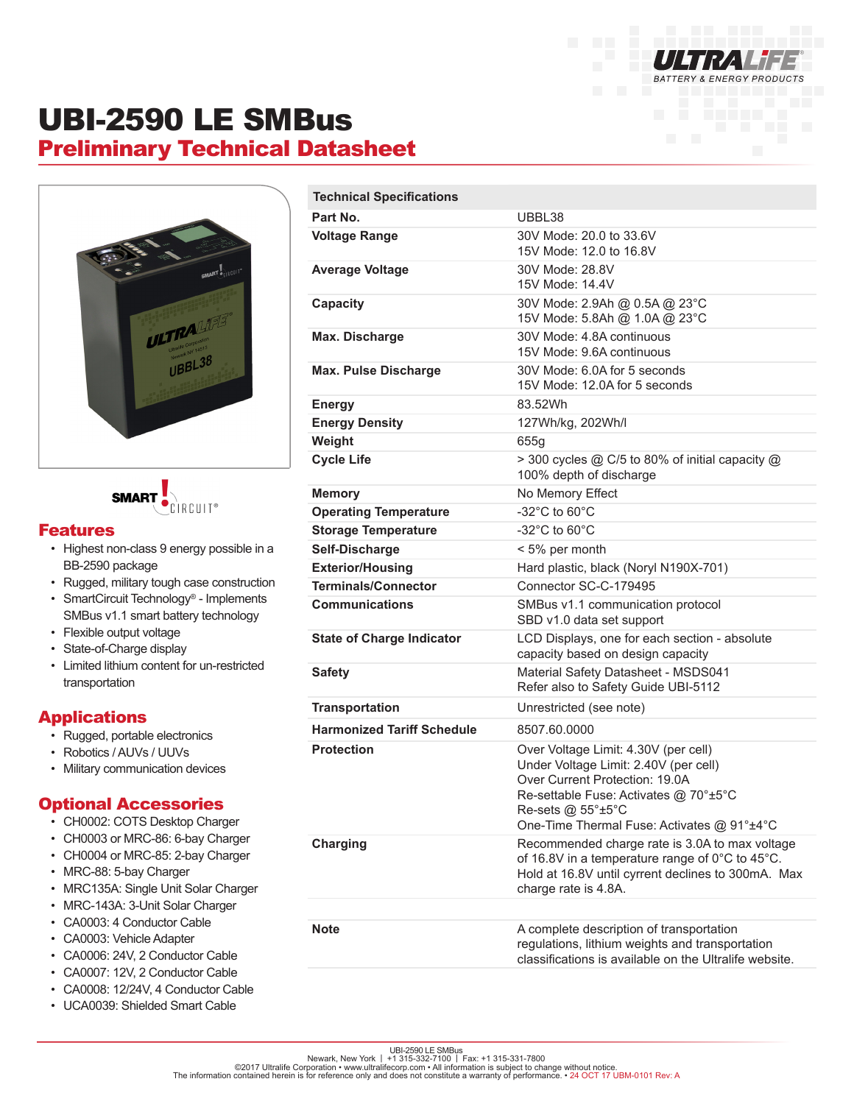

# UBI-2590 LE SMBus Preliminary Technical Datasheet





#### Features

- Highest non-class 9 energy possible in a BB-2590 package
- Rugged, military tough case construction
- SmartCircuit Technology® Implements SMBus v1.1 smart battery technology
- Flexible output voltage
- State-of-Charge display
- Limited lithium content for un-restricted transportation

### Applications

- Rugged, portable electronics
- Robotics / AUVs / UUVs
- Military communication devices

### Optional Accessories

- CH0002: COTS Desktop Charger
- CH0003 or MRC-86: 6-bay Charger
- CH0004 or MRC-85: 2-bay Charger
- MRC-88: 5-bay Charger
- MRC135A: Single Unit Solar Charger
- MRC-143A: 3-Unit Solar Charger
- CA0003: 4 Conductor Cable
- CA0003: Vehicle Adapter
- CA0006: 24V, 2 Conductor Cable
- CA0007: 12V, 2 Conductor Cable
- CA0008: 12/24V, 4 Conductor Cable
- UCA0039: Shielded Smart Cable

| <b>Technical Specifications</b>   |                                                                                                                                                                                                                             |
|-----------------------------------|-----------------------------------------------------------------------------------------------------------------------------------------------------------------------------------------------------------------------------|
| Part No.                          | UBBL38                                                                                                                                                                                                                      |
| <b>Voltage Range</b>              | 30V Mode: 20.0 to 33.6V<br>15V Mode: 12.0 to 16.8V                                                                                                                                                                          |
| <b>Average Voltage</b>            | 30V Mode: 28.8V<br>15V Mode: 14.4V                                                                                                                                                                                          |
| Capacity                          | 30V Mode: 2.9Ah @ 0.5A @ 23°C<br>15V Mode: 5.8Ah @ 1.0A @ 23°C                                                                                                                                                              |
| Max. Discharge                    | 30V Mode: 4.8A continuous<br>15V Mode: 9.6A continuous                                                                                                                                                                      |
| <b>Max. Pulse Discharge</b>       | 30V Mode: 6.0A for 5 seconds<br>15V Mode: 12.0A for 5 seconds                                                                                                                                                               |
| <b>Energy</b>                     | 83.52Wh                                                                                                                                                                                                                     |
| <b>Energy Density</b>             | 127Wh/kg, 202Wh/l                                                                                                                                                                                                           |
| Weight                            | 655g                                                                                                                                                                                                                        |
| <b>Cycle Life</b>                 | > 300 cycles @ C/5 to 80% of initial capacity @<br>100% depth of discharge                                                                                                                                                  |
| <b>Memory</b>                     | No Memory Effect                                                                                                                                                                                                            |
| <b>Operating Temperature</b>      | $-32^{\circ}$ C to 60 $^{\circ}$ C                                                                                                                                                                                          |
| <b>Storage Temperature</b>        | $-32^{\circ}$ C to 60 $^{\circ}$ C                                                                                                                                                                                          |
| Self-Discharge                    | < 5% per month                                                                                                                                                                                                              |
| <b>Exterior/Housing</b>           | Hard plastic, black (Noryl N190X-701)                                                                                                                                                                                       |
| <b>Terminals/Connector</b>        | Connector SC-C-179495                                                                                                                                                                                                       |
| <b>Communications</b>             | SMBus v1.1 communication protocol<br>SBD v1.0 data set support                                                                                                                                                              |
| <b>State of Charge Indicator</b>  | LCD Displays, one for each section - absolute<br>capacity based on design capacity                                                                                                                                          |
| <b>Safety</b>                     | Material Safety Datasheet - MSDS041<br>Refer also to Safety Guide UBI-5112                                                                                                                                                  |
| <b>Transportation</b>             | Unrestricted (see note)                                                                                                                                                                                                     |
| <b>Harmonized Tariff Schedule</b> | 8507.60.0000                                                                                                                                                                                                                |
| <b>Protection</b>                 | Over Voltage Limit: 4.30V (per cell)<br>Under Voltage Limit: 2.40V (per cell)<br>Over Current Protection: 19.0A<br>Re-settable Fuse: Activates @ 70°±5°C<br>Re-sets @ 55°±5°C<br>One-Time Thermal Fuse: Activates @ 91°±4°C |
| Charging                          | Recommended charge rate is 3.0A to max voltage<br>of 16.8V in a temperature range of 0°C to 45°C.<br>Hold at 16.8V until cyrrent declines to 300mA. Max<br>charge rate is 4.8A.                                             |
|                                   |                                                                                                                                                                                                                             |
| Note                              | A complete description of transportation<br>regulations, lithium weights and transportation<br>classifications is available on the Ultralife website.                                                                       |